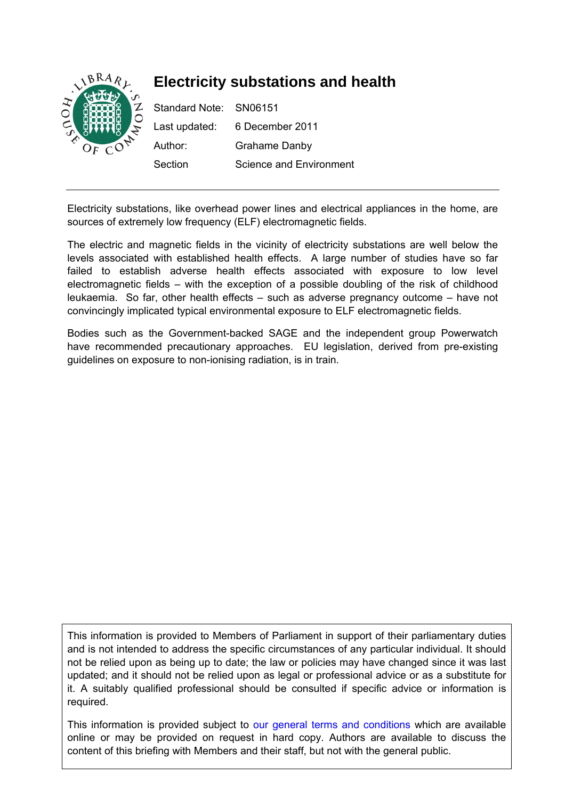

Electricity substations, like overhead power lines and electrical appliances in the home, are sources of extremely low frequency (ELF) electromagnetic fields.

The electric and magnetic fields in the vicinity of electricity substations are well below the levels associated with established health effects. A large number of studies have so far failed to establish adverse health effects associated with exposure to low level electromagnetic fields – with the exception of a possible doubling of the risk of childhood leukaemia. So far, other health effects – such as adverse pregnancy outcome – have not convincingly implicated typical environmental exposure to ELF electromagnetic fields.

Bodies such as the Government-backed SAGE and the independent group Powerwatch have recommended precautionary approaches. EU legislation, derived from pre-existing guidelines on exposure to non-ionising radiation, is in train.

This information is provided to Members of Parliament in support of their parliamentary duties and is not intended to address the specific circumstances of any particular individual. It should not be relied upon as being up to date; the law or policies may have changed since it was last updated; and it should not be relied upon as legal or professional advice or as a substitute for it. A suitably qualified professional should be consulted if specific advice or information is required.

This information is provided subject to [our general terms and conditions](http://www.parliament.uk/site-information/copyright/) which are available online or may be provided on request in hard copy. Authors are available to discuss the content of this briefing with Members and their staff, but not with the general public.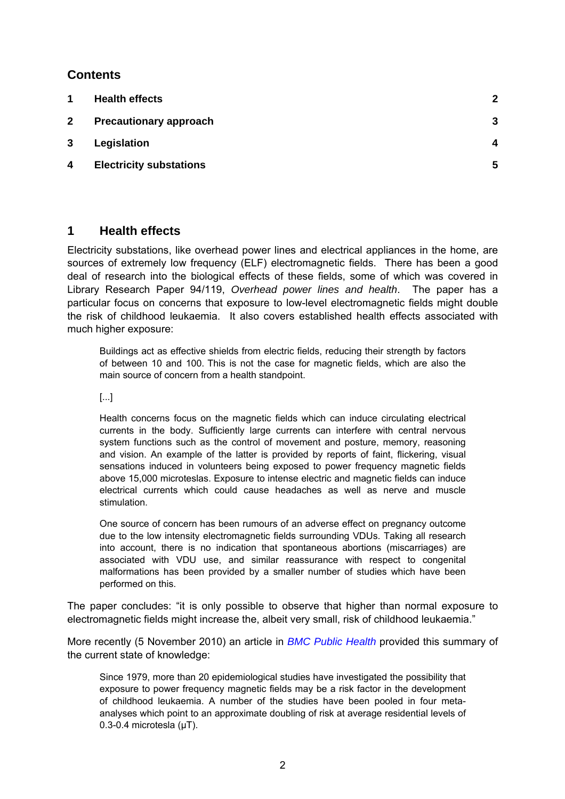# <span id="page-1-0"></span>**Contents**

| 1            | <b>Health effects</b>          | $\mathbf{2}$ |
|--------------|--------------------------------|--------------|
| $\mathbf{2}$ | <b>Precautionary approach</b>  | 3            |
| 3            | Legislation                    | 4            |
| 4            | <b>Electricity substations</b> | 5            |

## **1 Health effects**

Electricity substations, like overhead power lines and electrical appliances in the home, are sources of extremely low frequency (ELF) electromagnetic fields. There has been a good deal of research into the biological effects of these fields, some of which was covered in Library Research Paper 94/119, *Overhead power lines and health*. The paper has a particular focus on concerns that exposure to low-level electromagnetic fields might double the risk of childhood leukaemia. It also covers established health effects associated with much higher exposure:

Buildings act as effective shields from electric fields, reducing their strength by factors of between 10 and 100. This is not the case for magnetic fields, which are also the main source of concern from a health standpoint.

[...]

Health concerns focus on the magnetic fields which can induce circulating electrical currents in the body. Sufficiently large currents can interfere with central nervous system functions such as the control of movement and posture, memory, reasoning and vision. An example of the latter is provided by reports of faint, flickering, visual sensations induced in volunteers being exposed to power frequency magnetic fields above 15,000 microteslas. Exposure to intense electric and magnetic fields can induce electrical currents which could cause headaches as well as nerve and muscle stimulation.

One source of concern has been rumours of an adverse effect on pregnancy outcome due to the low intensity electromagnetic fields surrounding VDUs. Taking all research into account, there is no indication that spontaneous abortions (miscarriages) are associated with VDU use, and similar reassurance with respect to congenital malformations has been provided by a smaller number of studies which have been performed on this.

The paper concludes: "it is only possible to observe that higher than normal exposure to electromagnetic fields might increase the, albeit very small, risk of childhood leukaemia."

More recently (5 November 2010) an article in *[BMC Public Health](http://www.biomedcentral.com/1471-2458/10/673#B65)* provided this summary of the current state of knowledge:

Since 1979, more than 20 epidemiological studies have investigated the possibility that exposure to power frequency magnetic fields may be a risk factor in the development of childhood leukaemia. A number of the studies have been pooled in four metaanalyses which point to an approximate doubling of risk at average residential levels of 0.3-0.4 microtesla (μT).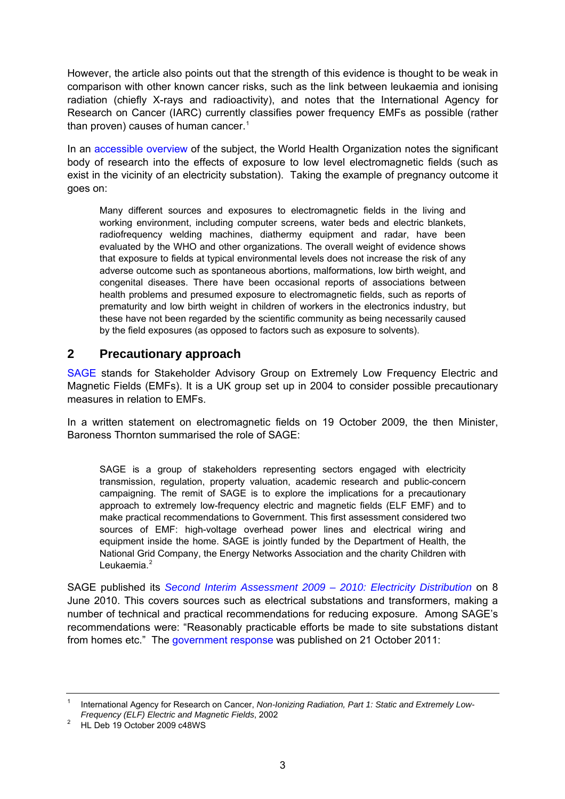<span id="page-2-0"></span>However, the article also points out that the strength of this evidence is thought to be weak in comparison with other known cancer risks, such as the link between leukaemia and ionising radiation (chiefly X-rays and radioactivity), and notes that the International Agency for Research on Cancer (IARC) currently classifies power frequency EMFs as possible (rather than proven) causes of human cancer.<sup>[1](#page-2-1)</sup>

In an [accessible overview](http://www.who.int/peh-emf/about/WhatisEMF/en/index1.html) of the subject, the World Health Organization notes the significant body of research into the effects of exposure to low level electromagnetic fields (such as exist in the vicinity of an electricity substation). Taking the example of pregnancy outcome it goes on:

Many different sources and exposures to electromagnetic fields in the living and working environment, including computer screens, water beds and electric blankets, radiofrequency welding machines, diathermy equipment and radar, have been evaluated by the WHO and other organizations. The overall weight of evidence shows that exposure to fields at typical environmental levels does not increase the risk of any adverse outcome such as spontaneous abortions, malformations, low birth weight, and congenital diseases. There have been occasional reports of associations between health problems and presumed exposure to electromagnetic fields, such as reports of prematurity and low birth weight in children of workers in the electronics industry, but these have not been regarded by the scientific community as being necessarily caused by the field exposures (as opposed to factors such as exposure to solvents).

# **2 Precautionary approach**

[SAGE](http://www.sagedialogue.org.uk/) stands for Stakeholder Advisory Group on Extremely Low Frequency Electric and Magnetic Fields (EMFs). It is a UK group set up in 2004 to consider possible precautionary measures in relation to EMFs.

In a written statement on electromagnetic fields on 19 October 2009, the then Minister, Baroness Thornton summarised the role of SAGE:

SAGE is a group of stakeholders representing sectors engaged with electricity transmission, regulation, property valuation, academic research and public-concern campaigning. The remit of SAGE is to explore the implications for a precautionary approach to extremely low-frequency electric and magnetic fields (ELF EMF) and to make practical recommendations to Government. This first assessment considered two sources of EMF: high-voltage overhead power lines and electrical wiring and equipment inside the home. SAGE is jointly funded by the Department of Health, the National Grid Company, the Energy Networks Association and the charity Children with Leukaemia.<sup>[2](#page-2-2)</sup>

SAGE published its *[Second Interim Assessment 2009 – 2010: Electricity Distribution](http://www.sagedialogue.org.uk/)* on 8 June 2010. This covers sources such as electrical substations and transformers, making a number of technical and practical recommendations for reducing exposure. Among SAGE's recommendations were: "Reasonably practicable efforts be made to site substations distant from homes etc." The [government response](http://www.dh.gov.uk/en/Publicationsandstatistics/Publications/PublicationsPolicyAndGuidance%20%20/DH_130703) was published on 21 October 2011:

<span id="page-2-1"></span><sup>1</sup> International Agency for Research on Cancer, *Non-Ionizing Radiation, Part 1: Static and Extremely Low-Frequency (ELF) Electric and Magnetic Fields, 2002* 

<span id="page-2-2"></span>HL Deb 19 October 2009 c48WS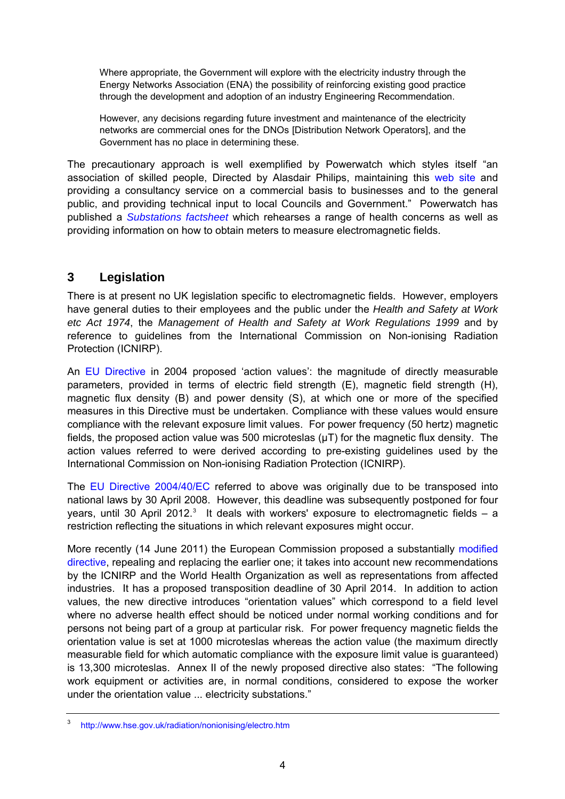<span id="page-3-0"></span>Where appropriate, the Government will explore with the electricity industry through the Energy Networks Association (ENA) the possibility of reinforcing existing good practice through the development and adoption of an industry Engineering Recommendation.

However, any decisions regarding future investment and maintenance of the electricity networks are commercial ones for the DNOs [Distribution Network Operators], and the Government has no place in determining these.

The precautionary approach is well exemplified by Powerwatch which styles itself "an association of skilled people, Directed by Alasdair Philips, maintaining this [web site](http://www.powerwatch.org.uk/docs/aboutus.asp) and providing a consultancy service on a commercial basis to businesses and to the general public, and providing technical input to local Councils and Government." Powerwatch has published a *[Substations factsheet](http://www.powerwatch.org.uk/elf/substations.asp)* which rehearses a range of health concerns as well as providing information on how to obtain meters to measure electromagnetic fields.

# **3 Legislation**

There is at present no UK legislation specific to electromagnetic fields. However, employers have general duties to their employees and the public under the *Health and Safety at Work etc Act 1974*, the *Management of Health and Safety at Work Regulations 1999* and by reference to guidelines from the International Commission on Non-ionising Radiation Protection (ICNIRP).

An [EU Directive](http://europa.eu/legislation_summaries/public_health/health_determinants_environment/c11150_en.htm) in 2004 proposed 'action values': the magnitude of directly measurable parameters, provided in terms of electric field strength (E), magnetic field strength (H), magnetic flux density (B) and power density (S), at which one or more of the specified measures in this Directive must be undertaken. Compliance with these values would ensure compliance with the relevant exposure limit values. For power frequency (50 hertz) magnetic fields, the proposed action value was 500 microteslas  $(\mu T)$  for the magnetic flux density. The action values referred to were derived according to pre-existing guidelines used by the International Commission on Non-ionising Radiation Protection (ICNIRP).

The [EU Directive 2004/40/EC](http://www.hse.gov.uk/radiation/nonionising/l184emf.pdf) referred to above was originally due to be transposed into national laws by 30 April 2008. However, this deadline was subsequently postponed for four years, until [3](#page-3-1)0 April 2012.<sup>3</sup> It deals with workers' exposure to electromagnetic fields  $-$  a restriction reflecting the situations in which relevant exposures might occur.

More recently (14 June 2011) the European Commission proposed a substantially [modified](http://register.consilium.europa.eu/pdf/en/11/st11/st11951.en11.pdf)  [directive,](http://register.consilium.europa.eu/pdf/en/11/st11/st11951.en11.pdf) repealing and replacing the earlier one; it takes into account new recommendations by the ICNIRP and the World Health Organization as well as representations from affected industries. It has a proposed transposition deadline of 30 April 2014. In addition to action values, the new directive introduces "orientation values" which correspond to a field level where no adverse health effect should be noticed under normal working conditions and for persons not being part of a group at particular risk. For power frequency magnetic fields the orientation value is set at 1000 microteslas whereas the action value (the maximum directly measurable field for which automatic compliance with the exposure limit value is guaranteed) is 13,300 microteslas. Annex II of the newly proposed directive also states: "The following work equipment or activities are, in normal conditions, considered to expose the worker under the orientation value ... electricity substations."

<span id="page-3-1"></span><sup>3</sup> <http://www.hse.gov.uk/radiation/nonionising/electro.htm>